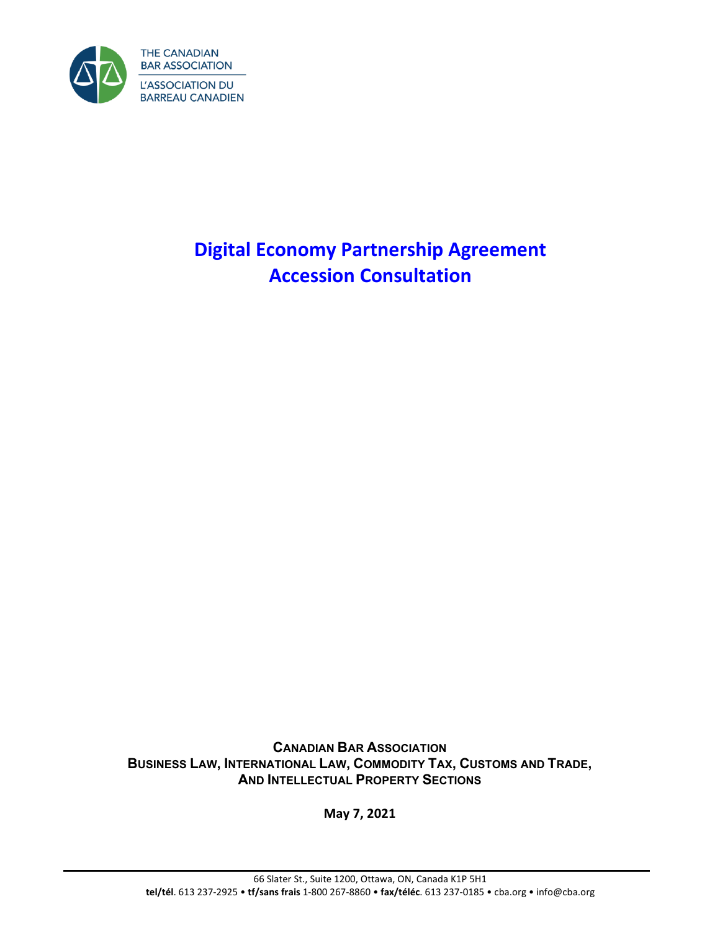

# **Digital Economy Partnership Agreement Accession Consultation**

**CANADIAN BAR ASSOCIATION BUSINESS LAW, INTERNATIONAL LAW, COMMODITY TAX, CUSTOMS AND TRADE, AND INTELLECTUAL PROPERTY SECTIONS**

**May 7, 2021**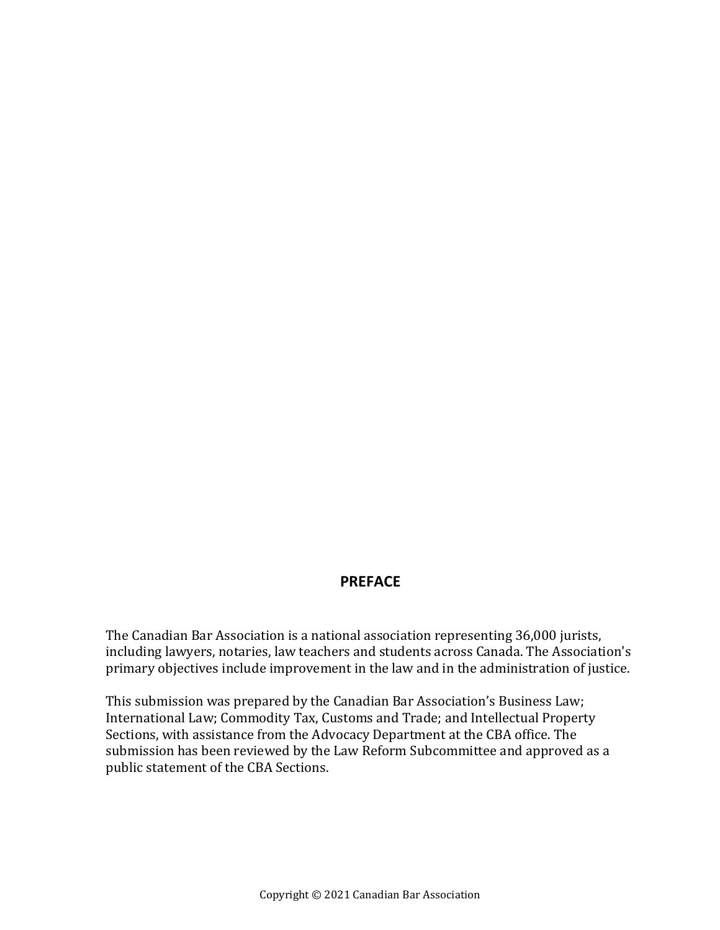#### **PREFACE**

The Canadian Bar Association is a national association representing 36,000 jurists, including lawyers, notaries, law teachers and students across Canada. The Association's primary objectives include improvement in the law and in the administration of justice.

This submission was prepared by the Canadian Bar Association's Business Law; International Law; Commodity Tax, Customs and Trade; and Intellectual Property Sections, with assistance from the Advocacy Department at the CBA office. The submission has been reviewed by the Law Reform Subcommittee and approved as a public statement of the CBA Sections.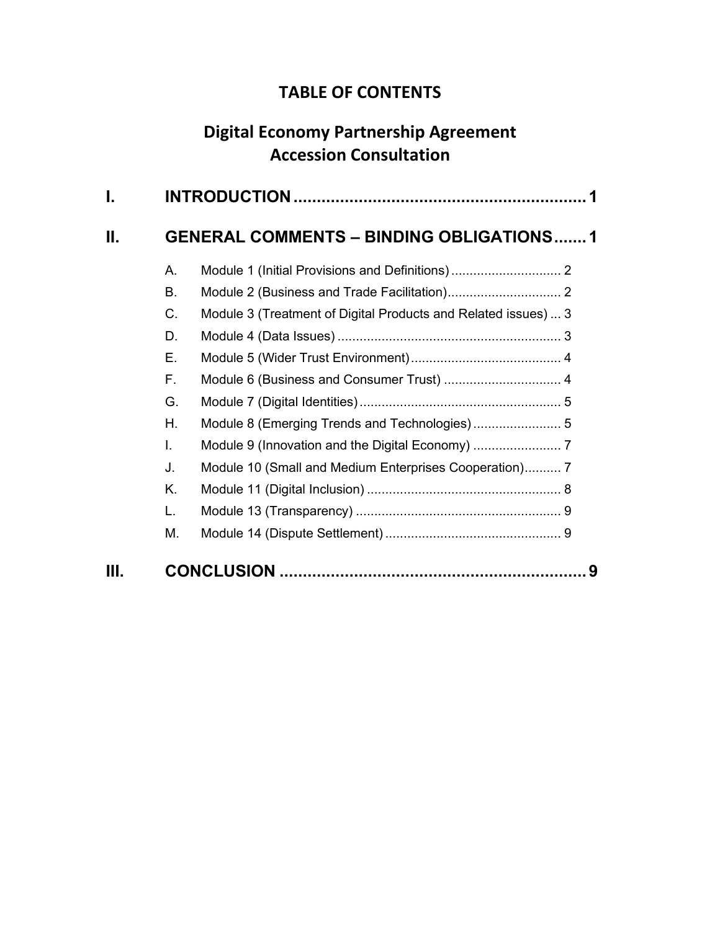## **TABLE OF CONTENTS**

## **Digital Economy Partnership Agreement Accession Consultation**

| I.   |    |                                                                |  |
|------|----|----------------------------------------------------------------|--|
| Ш.   |    | <b>GENERAL COMMENTS - BINDING OBLIGATIONS1</b>                 |  |
|      | А. |                                                                |  |
|      | В. |                                                                |  |
|      | C. | Module 3 (Treatment of Digital Products and Related issues)  3 |  |
|      | D. |                                                                |  |
|      | Е. |                                                                |  |
|      | F. | Module 6 (Business and Consumer Trust)  4                      |  |
|      | G. |                                                                |  |
|      | Η. | Module 8 (Emerging Trends and Technologies) 5                  |  |
|      | L  |                                                                |  |
|      | J. | Module 10 (Small and Medium Enterprises Cooperation) 7         |  |
|      | Κ. |                                                                |  |
|      | L. |                                                                |  |
|      | М. |                                                                |  |
| III. |    | 9                                                              |  |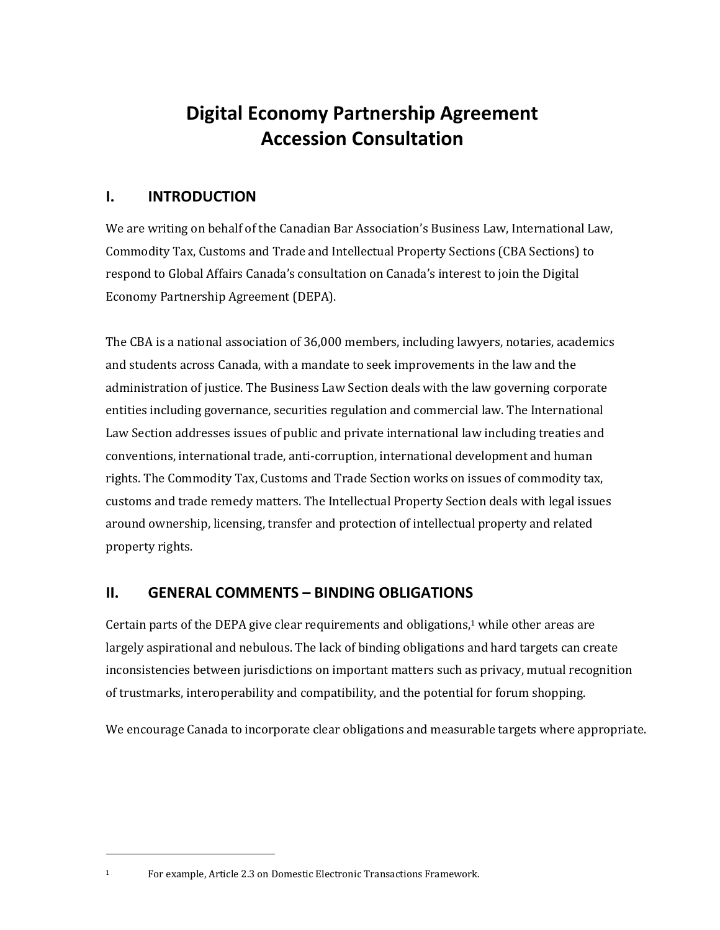## **Digital Economy Partnership Agreement Accession Consultation**

#### <span id="page-4-0"></span>**I. INTRODUCTION**

We are writing on behalf of the Canadian Bar Association's Business Law, International Law, Commodity Tax, Customs and Trade and Intellectual Property Sections (CBA Sections) to respond to Global Affairs Canada's consultation on Canada's interest to join the Digital Economy Partnership Agreement (DEPA).

The CBA is a national association of 36,000 members, including lawyers, notaries, academics and students across Canada, with a mandate to seek improvements in the law and the administration of justice. The Business Law Section deals with the law governing corporate entities including governance, securities regulation and commercial law. The International Law Section addresses issues of public and private international law including treaties and conventions, international trade, anti-corruption, international development and human rights. The Commodity Tax, Customs and Trade Section works on issues of commodity tax, customs and trade remedy matters. The Intellectual Property Section deals with legal issues around ownership, licensing, transfer and protection of intellectual property and related property rights.

#### <span id="page-4-1"></span>**II. GENERAL COMMENTS – BINDING OBLIGATIONS**

Certain parts of the DEPA give clear requirements and obligations, $1$  while other areas are largely aspirational and nebulous. The lack of binding obligations and hard targets can create inconsistencies between jurisdictions on important matters such as privacy, mutual recognition of trustmarks, interoperability and compatibility, and the potential for forum shopping.

We encourage Canada to incorporate clear obligations and measurable targets where appropriate.

<sup>1</sup> For example, Article 2.3 on Domestic Electronic Transactions Framework.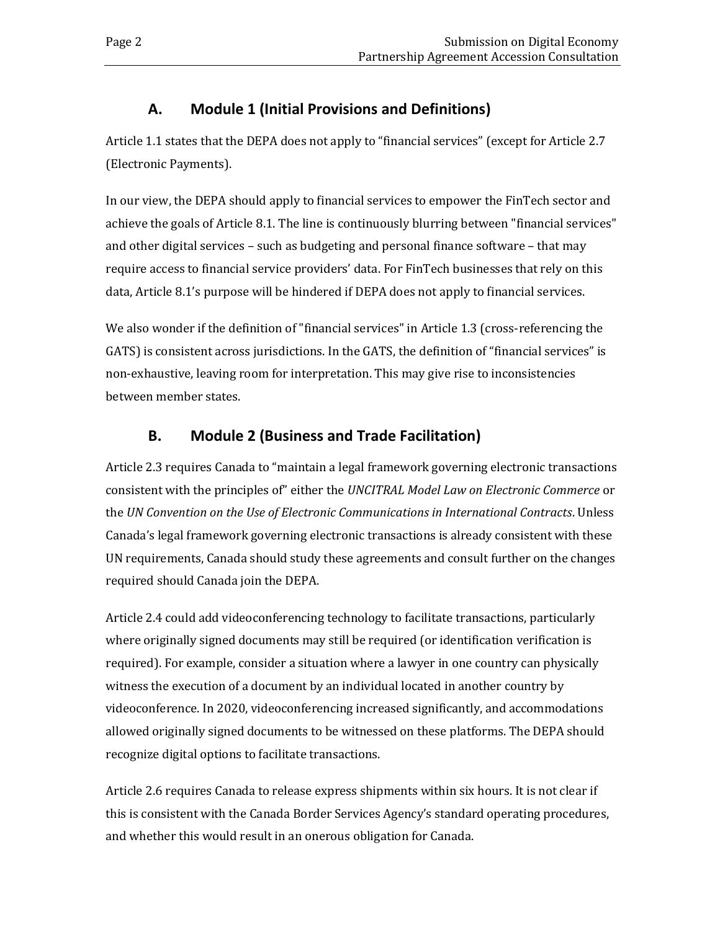#### **A. Module 1 (Initial Provisions and Definitions)**

<span id="page-5-0"></span>Article 1.1 states that the DEPA does not apply to "financial services" (except for Article 2.7 (Electronic Payments).

In our view, the DEPA should apply to financial services to empower the FinTech sector and achieve the goals of Article 8.1. The line is continuously blurring between "financial services" and other digital services – such as budgeting and personal finance software – that may require access to financial service providers' data. For FinTech businesses that rely on this data, Article 8.1's purpose will be hindered if DEPA does not apply to financial services.

We also wonder if the definition of "financial services" in Article 1.3 (cross-referencing the GATS) is consistent across jurisdictions. In the GATS, the definition of "financial services" is non-exhaustive, leaving room for interpretation. This may give rise to inconsistencies between member states.

## **B. Module 2 (Business and Trade Facilitation)**

<span id="page-5-1"></span>Article 2.3 requires Canada to "maintain a legal framework governing electronic transactions consistent with the principles of" either the *UNCITRAL Model Law on Electronic Commerce* or the *UN Convention on the Use of Electronic Communications in International Contracts*. Unless Canada's legal framework governing electronic transactions is already consistent with these UN requirements, Canada should study these agreements and consult further on the changes required should Canada join the DEPA.

Article 2.4 could add videoconferencing technology to facilitate transactions, particularly where originally signed documents may still be required (or identification verification is required). For example, consider a situation where a lawyer in one country can physically witness the execution of a document by an individual located in another country by videoconference. In 2020, videoconferencing increased significantly, and accommodations allowed originally signed documents to be witnessed on these platforms. The DEPA should recognize digital options to facilitate transactions.

Article 2.6 requires Canada to release express shipments within six hours. It is not clear if this is consistent with the Canada Border Services Agency's standard operating procedures, and whether this would result in an onerous obligation for Canada.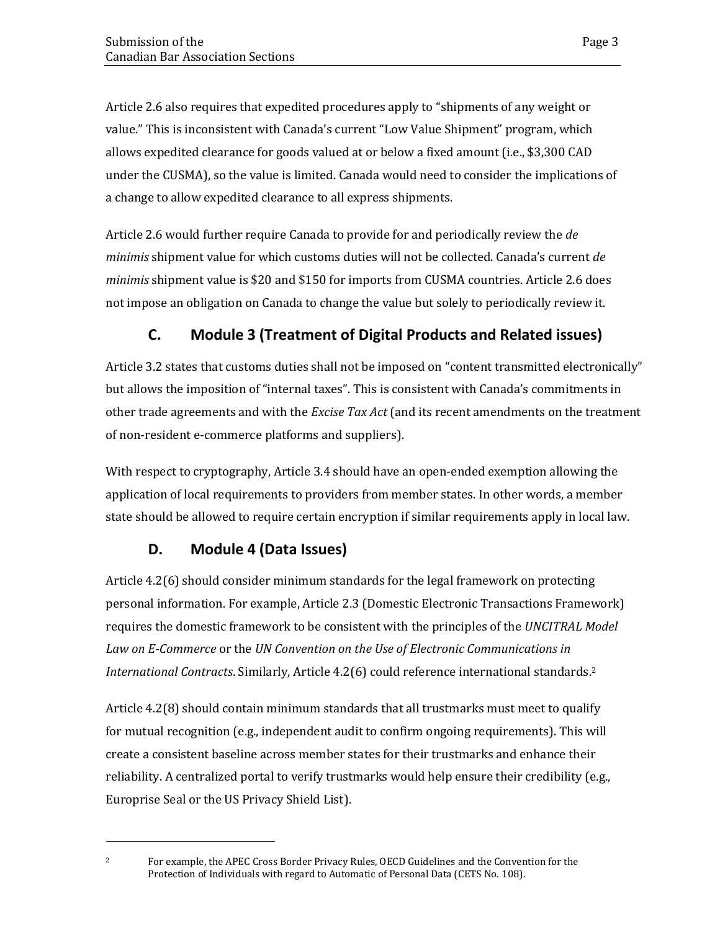Article 2.6 also requires that expedited procedures apply to "shipments of any weight or value." This is inconsistent with Canada's current "Low Value Shipment" program, which allows expedited clearance for goods valued at or below a fixed amount (i.e., \$3,300 CAD under the CUSMA), so the value is limited. Canada would need to consider the implications of a change to allow expedited clearance to all express shipments.

Article 2.6 would further require Canada to provide for and periodically review the *de minimis* shipment value for which customs duties will not be collected. Canada's current *de minimis* shipment value is \$20 and \$150 for imports from CUSMA countries. Article 2.6 does not impose an obligation on Canada to change the value but solely to periodically review it.

## **C. Module 3 (Treatment of Digital Products and Related issues)**

<span id="page-6-0"></span>Article 3.2 states that customs duties shall not be imposed on "content transmitted electronically" but allows the imposition of "internal taxes". This is consistent with Canada's commitments in other trade agreements and with the *Excise Tax Act* (and its recent amendments on the treatment of non-resident e-commerce platforms and suppliers).

With respect to cryptography, Article 3.4 should have an open-ended exemption allowing the application of local requirements to providers from member states. In other words, a member state should be allowed to require certain encryption if similar requirements apply in local law.

#### **D. Module 4 (Data Issues)**

<span id="page-6-1"></span>Article 4.2(6) should consider minimum standards for the legal framework on protecting personal information. For example, Article 2.3 (Domestic Electronic Transactions Framework) requires the domestic framework to be consistent with the principles of the *UNCITRAL Model Law on E-Commerce* or the *UN Convention on the Use of Electronic Communications in International Contracts*. Similarly, Article 4.2(6) could reference international standards. 2

Article 4.2(8) should contain minimum standards that all trustmarks must meet to qualify for mutual recognition (e.g., independent audit to confirm ongoing requirements). This will create a consistent baseline across member states for their trustmarks and enhance their reliability. A centralized portal to verify trustmarks would help ensure their credibility (e.g., Europrise Seal or the US Privacy Shield List).

<sup>2</sup> For example, the APEC Cross Border Privacy Rules, OECD Guidelines and the Convention for the Protection of Individuals with regard to Automatic of Personal Data (CETS No. 108).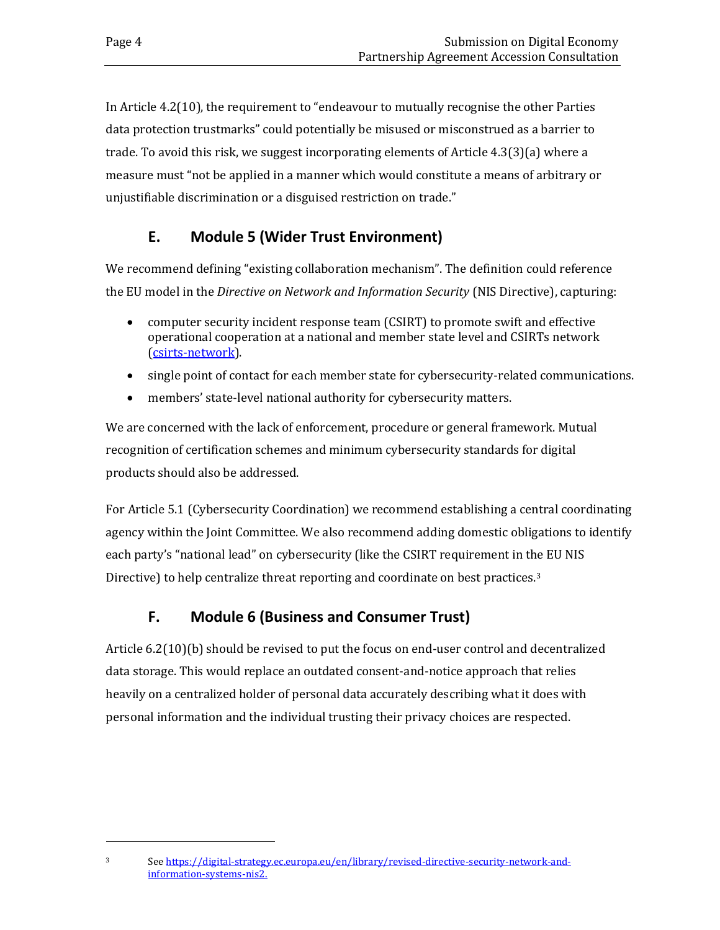In Article 4.2(10), the requirement to "endeavour to mutually recognise the other Parties data protection trustmarks" could potentially be misused or misconstrued as a barrier to trade. To avoid this risk, we suggest incorporating elements of Article 4.3(3)(a) where a measure must "not be applied in a manner which would constitute a means of arbitrary or unjustifiable discrimination or a disguised restriction on trade."

## **E. Module 5 (Wider Trust Environment)**

<span id="page-7-0"></span>We recommend defining "existing collaboration mechanism". The definition could reference the EU model in the *Directive on Network and Information Security* (NIS Directive), capturing:

- computer security incident response team (CSIRT) to promote swift and effective operational cooperation at a national and member state level and CSIRTs network (csirts-network).
- single point of contact for each member state for cybersecurity-related communications.
- members' state-level national authority for cybersecurity matters.

We are concerned with the lack of enforcement, procedure or general framework. Mutual recognition of certification schemes and minimum cybersecurity standards for digital products should also be addressed.

For Article 5.1 (Cybersecurity Coordination) we recommend establishing a central coordinating agency within the Joint Committee. We also recommend adding domestic obligations to identify each party's "national lead" on cybersecurity (like the CSIRT requirement in the EU NIS Directive) to help centralize threat reporting and coordinate on best practices.<sup>3</sup>

#### **F. Module 6 (Business and Consumer Trust)**

<span id="page-7-1"></span>Article 6.2(10)(b) should be revised to put the focus on end-user control and decentralized data storage. This would replace an outdated consent-and-notice approach that relies heavily on a centralized holder of personal data accurately describing what it does with personal information and the individual trusting their privacy choices are respected.

<sup>3</sup> Se[e https://digital-strategy.ec.europa.eu/en/library/revised-directive-security-network-and](https://digital-strategy.ec.europa.eu/en/library/revised-directive-security-network-and-information-systems-nis2)[information-systems-nis2.](https://digital-strategy.ec.europa.eu/en/library/revised-directive-security-network-and-information-systems-nis2)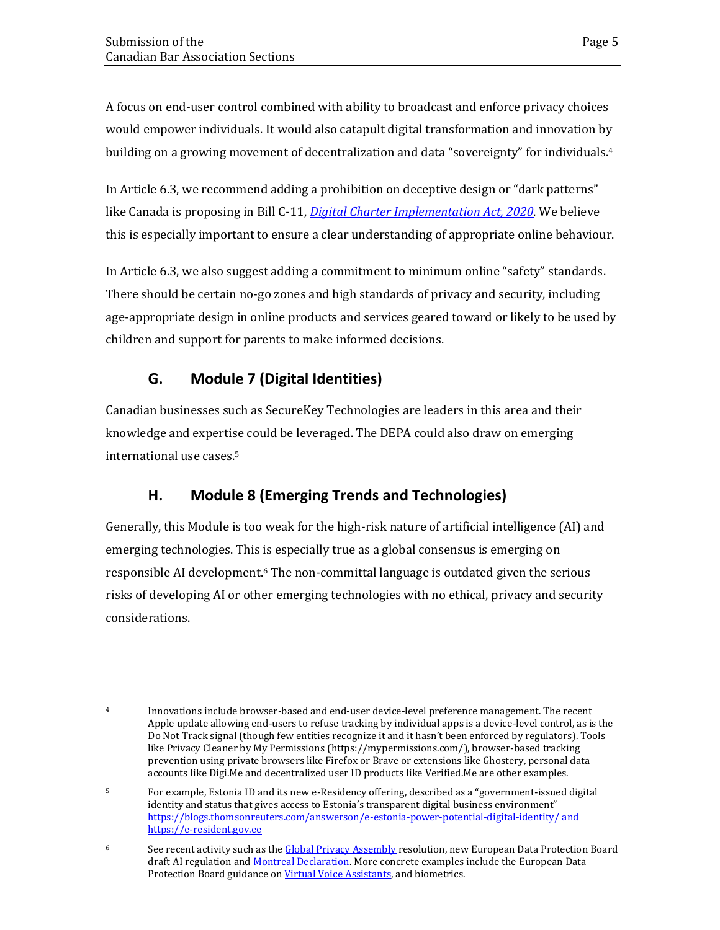A focus on end-user control combined with ability to broadcast and enforce privacy choices would empower individuals. It would also catapult digital transformation and innovation by building on a growing movement of decentralization and data "sovereignty" for individuals.<sup>4</sup>

In Article 6.3, we recommend adding a prohibition on deceptive design or "dark patterns" like Canada is proposing in Bill C-11, *Digital Charter Implementation Act, 2020*. We believe this is especially important to ensure a clear understanding of appropriate online behaviour.

In Article 6.3, we also suggest adding a commitment to minimum online "safety" standards. There should be certain no-go zones and high standards of privacy and security, including age-appropriate design in online products and services geared toward or likely to be used by children and support for parents to make informed decisions.

## **G. Module 7 (Digital Identities)**

<span id="page-8-0"></span>Canadian businesses such as SecureKey Technologies are leaders in this area and their knowledge and expertise could be leveraged. The DEPA could also draw on emerging international use cases.<sup>5</sup>

## **H. Module 8 (Emerging Trends and Technologies)**

<span id="page-8-1"></span>Generally, this Module is too weak for the high-risk nature of artificial intelligence (AI) and emerging technologies. This is especially true as a global consensus is emerging on responsible AI development.<sup>6</sup> The non-committal language is outdated given the serious risks of developing AI or other emerging technologies with no ethical, privacy and security considerations.

<sup>4</sup> Innovations include browser-based and end-user device-level preference management. The recent Apple update allowing end-users to refuse tracking by individual apps is a device-level control, as is the Do Not Track signal (though few entities recognize it and it hasn't been enforced by regulators). Tools like Privacy Cleaner by My Permissions (https://mypermissions.com/), browser-based tracking prevention using private browsers like Firefox or Brave or extensions like Ghostery, personal data accounts like Digi.Me and decentralized user ID products like Verified.Me are other examples.

<sup>5</sup> For example, Estonia ID and its new e-Residency offering, described as a "government-issued digital identity and status that gives access to Estonia's transparent digital business environment" <https://blogs.thomsonreuters.com/answerson/e-estonia-power-potential-digital-identity/> and [https://e-resident.gov.ee](https://e-resident.gov.ee/)

<sup>&</sup>lt;sup>6</sup> See recent activity such as the Global Privacy Assembly resolution, new European Data Protection Board draft AI regulation and Montreal Declaration. More concrete examples include the European Data Protection Board guidance on Virtual Voice Assistants, and biometrics.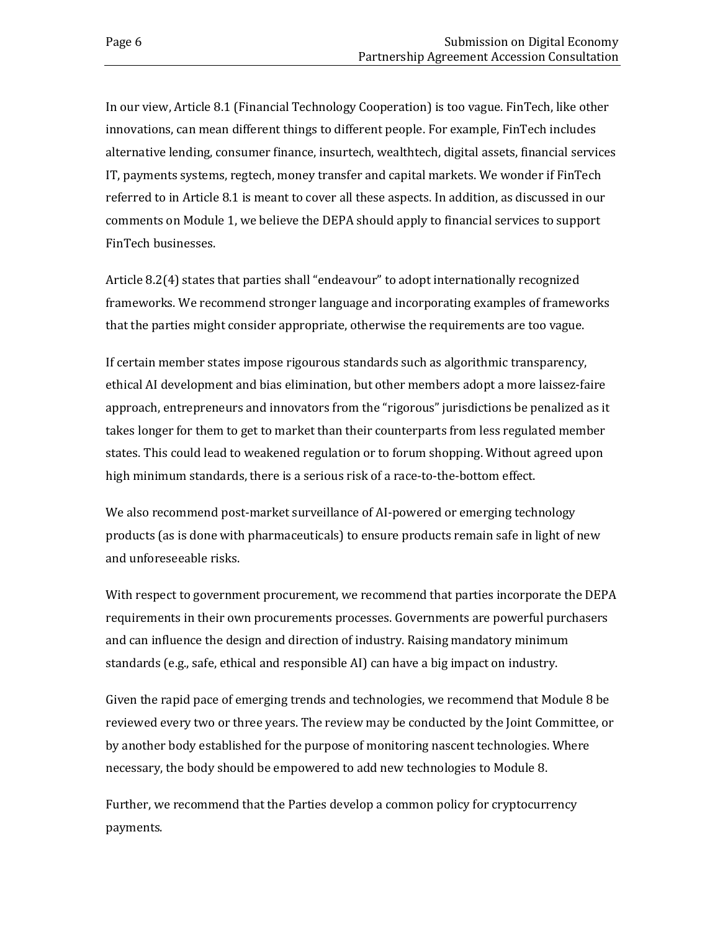In our view, Article 8.1 (Financial Technology Cooperation) is too vague. FinTech, like other innovations, can mean different things to different people. For example, FinTech includes alternative lending, consumer finance, insurtech, wealthtech, digital assets, financial services IT, payments systems, regtech, money transfer and capital markets. We wonder if FinTech referred to in Article 8.1 is meant to cover all these aspects. In addition, as discussed in our comments on Module 1, we believe the DEPA should apply to financial services to support FinTech businesses.

Article 8.2(4) states that parties shall "endeavour" to adopt internationally recognized frameworks. We recommend stronger language and incorporating examples of frameworks that the parties might consider appropriate, otherwise the requirements are too vague.

If certain member states impose rigourous standards such as algorithmic transparency, ethical AI development and bias elimination, but other members adopt a more laissez-faire approach, entrepreneurs and innovators from the "rigorous" jurisdictions be penalized as it takes longer for them to get to market than their counterparts from less regulated member states. This could lead to weakened regulation or to forum shopping. Without agreed upon high minimum standards, there is a serious risk of a race-to-the-bottom effect.

We also recommend post-market surveillance of AI-powered or emerging technology products (as is done with pharmaceuticals) to ensure products remain safe in light of new and unforeseeable risks.

With respect to government procurement, we recommend that parties incorporate the DEPA requirements in their own procurements processes. Governments are powerful purchasers and can influence the design and direction of industry. Raising mandatory minimum standards (e.g., safe, ethical and responsible AI) can have a big impact on industry.

Given the rapid pace of emerging trends and technologies, we recommend that Module 8 be reviewed every two or three years. The review may be conducted by the Joint Committee, or by another body established for the purpose of monitoring nascent technologies. Where necessary, the body should be empowered to add new technologies to Module 8.

Further, we recommend that the Parties develop a common policy for cryptocurrency payments.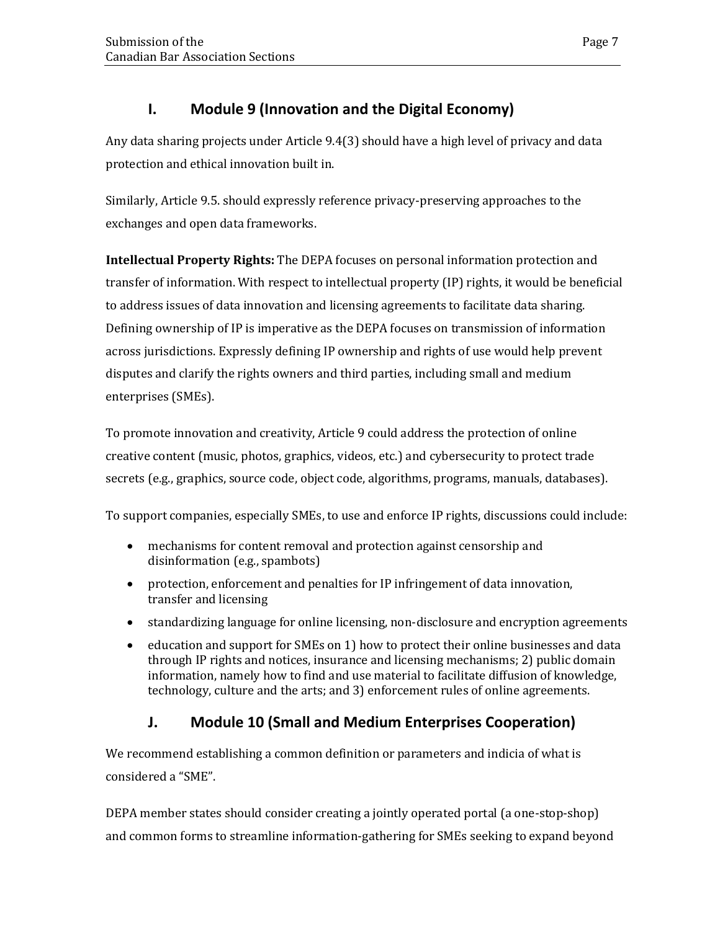#### **I. Module 9 (Innovation and the Digital Economy)**

<span id="page-10-0"></span>Any data sharing projects under Article 9.4(3) should have a high level of privacy and data protection and ethical innovation built in.

Similarly, Article 9.5. should expressly reference privacy-preserving approaches to the exchanges and open data frameworks.

**Intellectual Property Rights:** The DEPA focuses on personal information protection and transfer of information. With respect to intellectual property (IP) rights, it would be beneficial to address issues of data innovation and licensing agreements to facilitate data sharing. Defining ownership of IP is imperative as the DEPA focuses on transmission of information across jurisdictions. Expressly defining IP ownership and rights of use would help prevent disputes and clarify the rights owners and third parties, including small and medium enterprises (SMEs).

To promote innovation and creativity, Article 9 could address the protection of online creative content (music, photos, graphics, videos, etc.) and cybersecurity to protect trade secrets (e.g., graphics, source code, object code, algorithms, programs, manuals, databases).

To support companies, especially SMEs, to use and enforce IP rights, discussions could include:

- mechanisms for content removal and protection against censorship and disinformation (e.g., spambots)
- protection, enforcement and penalties for IP infringement of data innovation, transfer and licensing
- standardizing language for online licensing, non-disclosure and encryption agreements
- education and support for SMEs on 1) how to protect their online businesses and data through IP rights and notices, insurance and licensing mechanisms; 2) public domain information, namely how to find and use material to facilitate diffusion of knowledge, technology, culture and the arts; and 3) enforcement rules of online agreements.

## **J. Module 10 (Small and Medium Enterprises Cooperation)**

<span id="page-10-1"></span>We recommend establishing a common definition or parameters and indicia of what is considered a "SME".

DEPA member states should consider creating a jointly operated portal (a one-stop-shop) and common forms to streamline information-gathering for SMEs seeking to expand beyond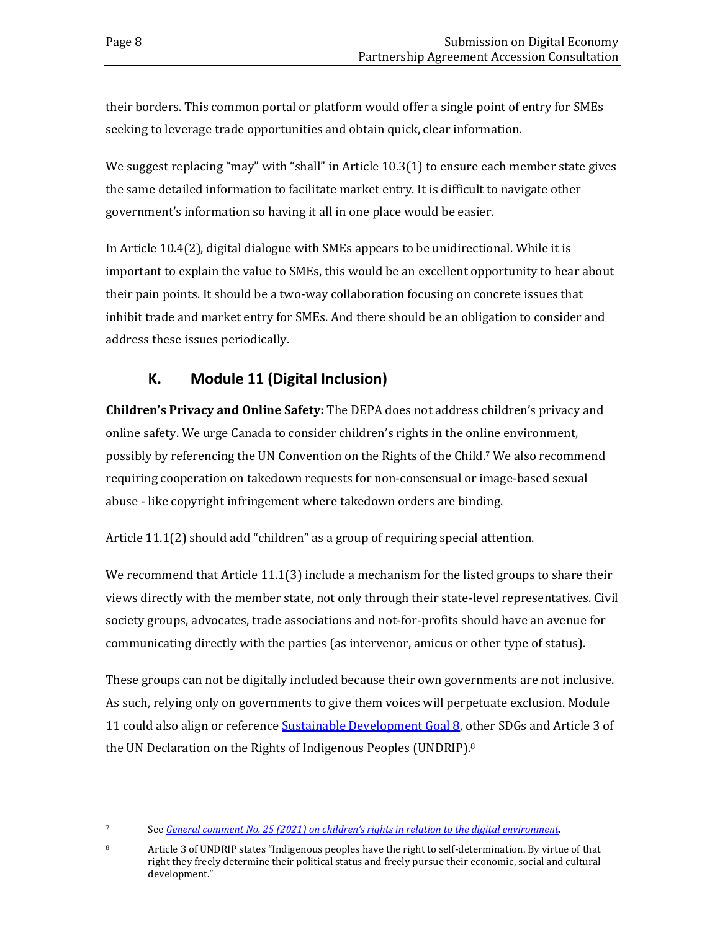their borders. This common portal or platform would offer a single point of entry for SMEs seeking to leverage trade opportunities and obtain quick, clear information.

We suggest replacing "may" with "shall" in Article 10.3(1) to ensure each member state gives the same detailed information to facilitate market entry. It is difficult to navigate other government's information so having it all in one place would be easier.

In Article 10.4(2), digital dialogue with SMEs appears to be unidirectional. While it is important to explain the value to SMEs, this would be an excellent opportunity to hear about their pain points. It should be a two-way collaboration focusing on concrete issues that inhibit trade and market entry for SMEs. And there should be an obligation to consider and address these issues periodically.

#### **K. Module 11 (Digital Inclusion)**

<span id="page-11-0"></span>**Children's Privacy and Online Safety:** The DEPA does not address children's privacy and online safety. We urge Canada to consider children's rights in the online environment, possibly by referencing the UN Convention on the Rights of the Child.<sup>7</sup> We also recommend requiring cooperation on takedown requests for non-consensual or image-based sexual abuse - like copyright infringement where takedown orders are binding.

Article 11.1(2) should add "children" as a group of requiring special attention.

We recommend that Article 11.1(3) include a mechanism for the listed groups to share their views directly with the member state, not only through their state-level representatives. Civil society groups, advocates, trade associations and not-for-profits should have an avenue for communicating directly with the parties (as intervenor, amicus or other type of status).

These groups can not be digitally included because their own governments are not inclusive. As such, relying only on governments to give them voices will perpetuate exclusion. Module 11 could also align or reference Sustainable Development Goal 8, other SDGs and Article 3 of the UN Declaration on the Rights of Indigenous Peoples (UNDRIP).<sup>8</sup>

<sup>7</sup> See *[General comment No. 25 \(2021\) on children's rights in relation to the digital environment](https://docstore.ohchr.org/SelfServices/FilesHandler.ashx?enc=6QkG1d%2fPPRiCAqhKb7yhsqIkirKQZLK2M58RF%2f5F0vEG%2bcAAx34gC78FwvnmZXGFUl9nJBDpKR1dfKekJxW2w9nNryRsgArkTJgKelqeZwK9WXzMkZRZd37nLN1bFc2t)*.

<sup>8</sup> Article 3 of UNDRIP states "Indigenous peoples have the right to self-determination. By virtue of that right they freely determine their political status and freely pursue their economic, social and cultural development."